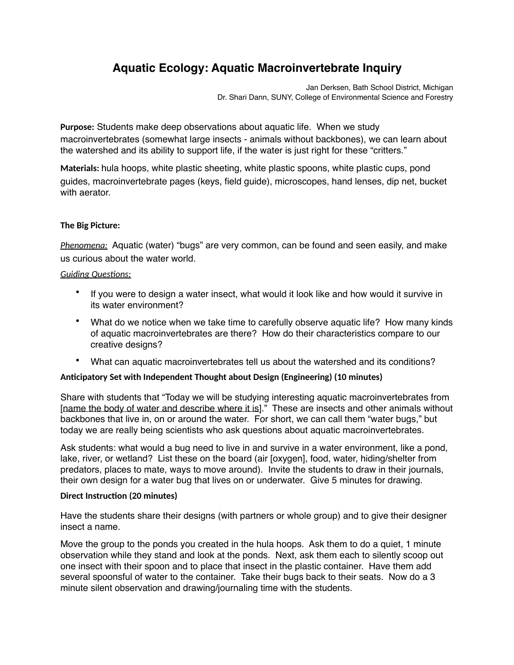# **Aquatic Ecology: Aquatic Macroinvertebrate Inquiry**

Jan Derksen, Bath School District, Michigan Dr. Shari Dann, SUNY, College of Environmental Science and Forestry

**Purpose:** Students make deep observations about aquatic life. When we study macroinvertebrates (somewhat large insects - animals without backbones), we can learn about the watershed and its ability to support life, if the water is just right for these "critters."

**Materials:** hula hoops, white plastic sheeting, white plastic spoons, white plastic cups, pond guides, macroinvertebrate pages (keys, field guide), microscopes, hand lenses, dip net, bucket with aerator.

### **The Big Picture:**

*Phenomena:* Aquatic (water) "bugs" are very common, can be found and seen easily, and make us curious about the water world.

#### **Guiding Questions:**

- If you were to design a water insect, what would it look like and how would it survive in its water environment?
- What do we notice when we take time to carefully observe aquatic life? How many kinds of aquatic macroinvertebrates are there? How do their characteristics compare to our creative designs?
- What can aquatic macroinvertebrates tell us about the watershed and its conditions?

# **An6cipatory Set with Independent Thought about Design (Engineering) (10 minutes)**

Share with students that "Today we will be studying interesting aquatic macroinvertebrates from [name the body of water and describe where it is]." These are insects and other animals without backbones that live in, on or around the water. For short, we can call them "water bugs," but today we are really being scientists who ask questions about aquatic macroinvertebrates.

Ask students: what would a bug need to live in and survive in a water environment, like a pond, lake, river, or wetland? List these on the board (air [oxygen], food, water, hiding/shelter from predators, places to mate, ways to move around). Invite the students to draw in their journals, their own design for a water bug that lives on or underwater. Give 5 minutes for drawing.

#### **Direct Instruction (20 minutes)**

Have the students share their designs (with partners or whole group) and to give their designer insect a name.

Move the group to the ponds you created in the hula hoops. Ask them to do a quiet, 1 minute observation while they stand and look at the ponds. Next, ask them each to silently scoop out one insect with their spoon and to place that insect in the plastic container. Have them add several spoonsful of water to the container. Take their bugs back to their seats. Now do a 3 minute silent observation and drawing/journaling time with the students.